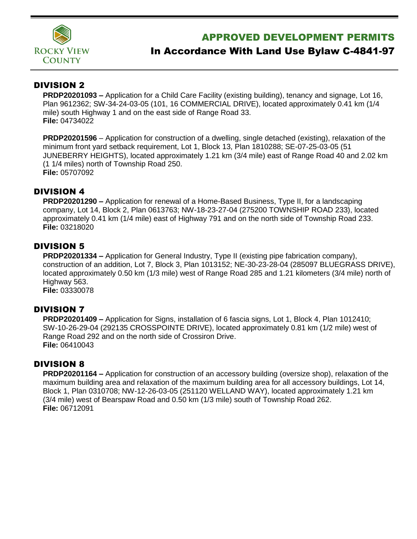

## APPROVED DEVELOPMENT PERMITS

# In Accordance With Land Use Bylaw C-4841-97

## DIVISION 2

**PRDP20201093 –** Application for a Child Care Facility (existing building), tenancy and signage, Lot 16, Plan 9612362; SW-34-24-03-05 (101, 16 COMMERCIAL DRIVE), located approximately 0.41 km (1/4 mile) south Highway 1 and on the east side of Range Road 33. **File:** 04734022

**PRDP20201596** – Application for construction of a dwelling, single detached (existing), relaxation of the minimum front yard setback requirement, Lot 1, Block 13, Plan 1810288; SE-07-25-03-05 (51 JUNEBERRY HEIGHTS), located approximately 1.21 km (3/4 mile) east of Range Road 40 and 2.02 km (1 1/4 miles) north of Township Road 250. **File:** 05707092

#### DIVISION 4

**PRDP20201290 –** Application for renewal of a Home-Based Business, Type II, for a landscaping company, Lot 14, Block 2, Plan 0613763; NW-18-23-27-04 (275200 TOWNSHIP ROAD 233), located approximately 0.41 km (1/4 mile) east of Highway 791 and on the north side of Township Road 233. **File:** 03218020

### DIVISION 5

**PRDP20201334 –** Application for General Industry, Type II (existing pipe fabrication company), construction of an addition, Lot 7, Block 3, Plan 1013152; NE-30-23-28-04 (285097 BLUEGRASS DRIVE), located approximately 0.50 km (1/3 mile) west of Range Road 285 and 1.21 kilometers (3/4 mile) north of Highway 563. **File:** 03330078

#### DIVISION 7

**PRDP20201409 –** Application for Signs, installation of 6 fascia signs, Lot 1, Block 4, Plan 1012410; SW-10-26-29-04 (292135 CROSSPOINTE DRIVE), located approximately 0.81 km (1/2 mile) west of Range Road 292 and on the north side of Crossiron Drive. **File:** 06410043

#### DIVISION 8

**PRDP20201164 –** Application for construction of an accessory building (oversize shop), relaxation of the maximum building area and relaxation of the maximum building area for all accessory buildings, Lot 14, Block 1, Plan 0310708; NW-12-26-03-05 (251120 WELLAND WAY), located approximately 1.21 km (3/4 mile) west of Bearspaw Road and 0.50 km (1/3 mile) south of Township Road 262. **File:** 06712091